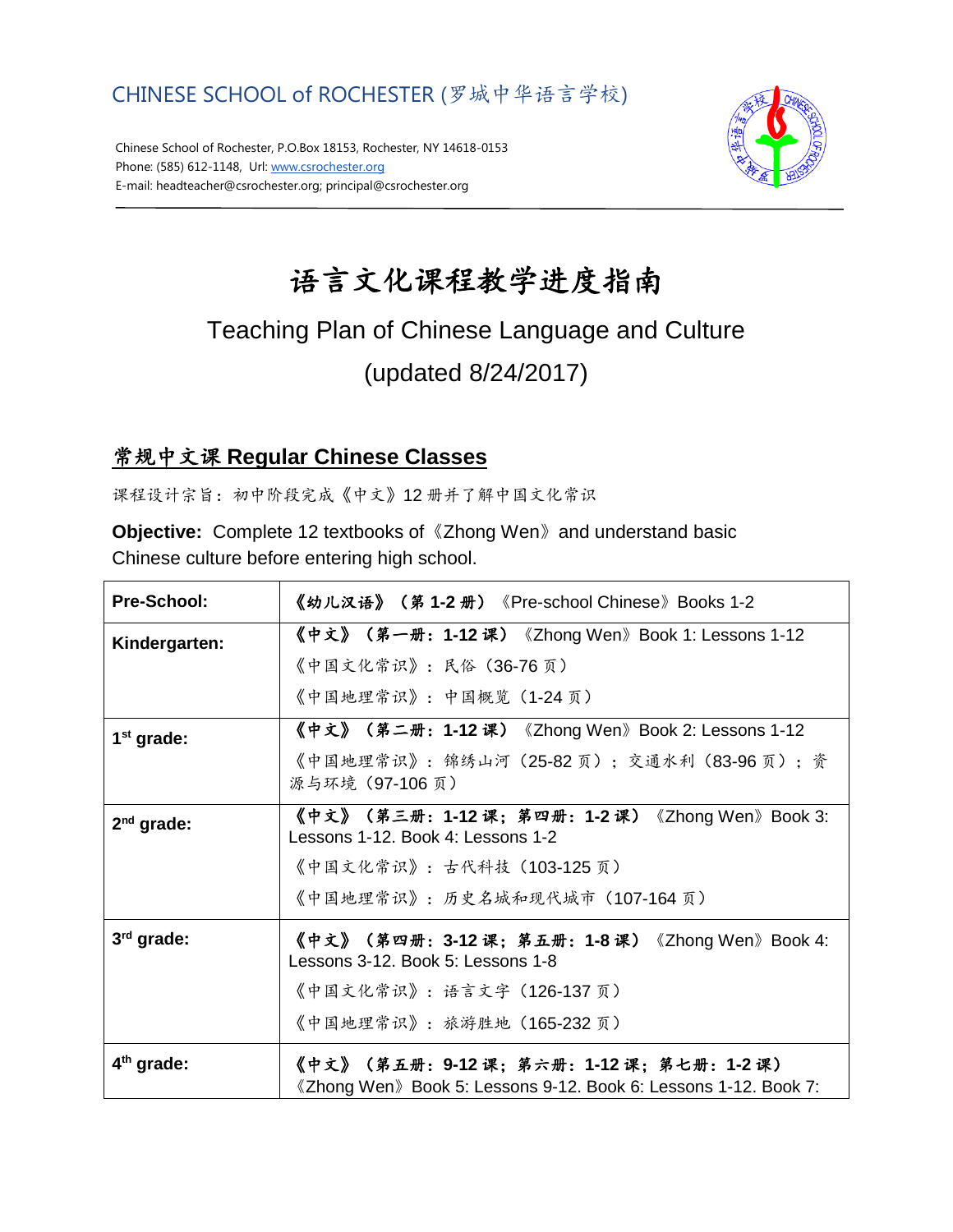

Chinese School of Rochester, P.O.Box 18153, Rochester, NY 14618-0153 Phone: (585) 612-1148, Url[: www.csrochester.org](http://www.csrochester.org/) E-mail: headteacher@csrochester.org; principal@csrochester.org



# 语言文化课程教学进度指南

## Teaching Plan of Chinese Language and Culture (updated 8/24/2017)

### 常规中文课 **Regular Chinese Classes**

课程设计宗旨:初中阶段完成《中文》12 册并了解中国文化常识

**Objective:** Complete 12 textbooks of《Zhong Wen》and understand basic Chinese culture before entering high school.

| Pre-School:            | 《幼儿汉语》(第 1-2 册)《Pre-school Chinese》Books 1-2                                                            |
|------------------------|---------------------------------------------------------------------------------------------------------|
| Kindergarten:          | 《中文》(第一册:1-12 课)《Zhong Wen》Book 1: Lessons 1-12                                                         |
|                        | 《中国文化常识》:民俗(36-76页)                                                                                     |
|                        | 《中国地理常识》: 中国概览(1-24页)                                                                                   |
| $1st$ grade:           | 《中文》(第二册:1-12 课)《Zhong Wen》Book 2: Lessons 1-12                                                         |
|                        | 《中国地理常识》:锦绣山河(25-82 页);交通水利(83-96 页);资<br>源与环境 (97-106页)                                                |
| $2nd$ grade:           | 《中文》(第三册:1-12 课;第四册:1-2 课)《Zhong Wen》Book 3:<br>Lessons 1-12. Book 4: Lessons 1-2                       |
|                        | 《中国文化常识》:古代科技(103-125页)                                                                                 |
|                        | 《中国地理常识》:历史名城和现代城市(107-164 页)                                                                           |
| 3rd grade:             | 《中文》(第四册:3-12 课;第五册:1-8 课)《Zhong Wen》Book 4:<br>Lessons 3-12. Book 5: Lessons 1-8                       |
|                        | 《中国文化常识》: 语言文字(126-137页)                                                                                |
|                        | 《中国地理常识》: 旅游胜地(165-232页)                                                                                |
| 4 <sup>th</sup> grade: | 《中文》(第五册:9-12 课;第六册:1-12 课;第七册:1-2 课)<br>《Zhong Wen》Book 5: Lessons 9-12. Book 6: Lessons 1-12. Book 7: |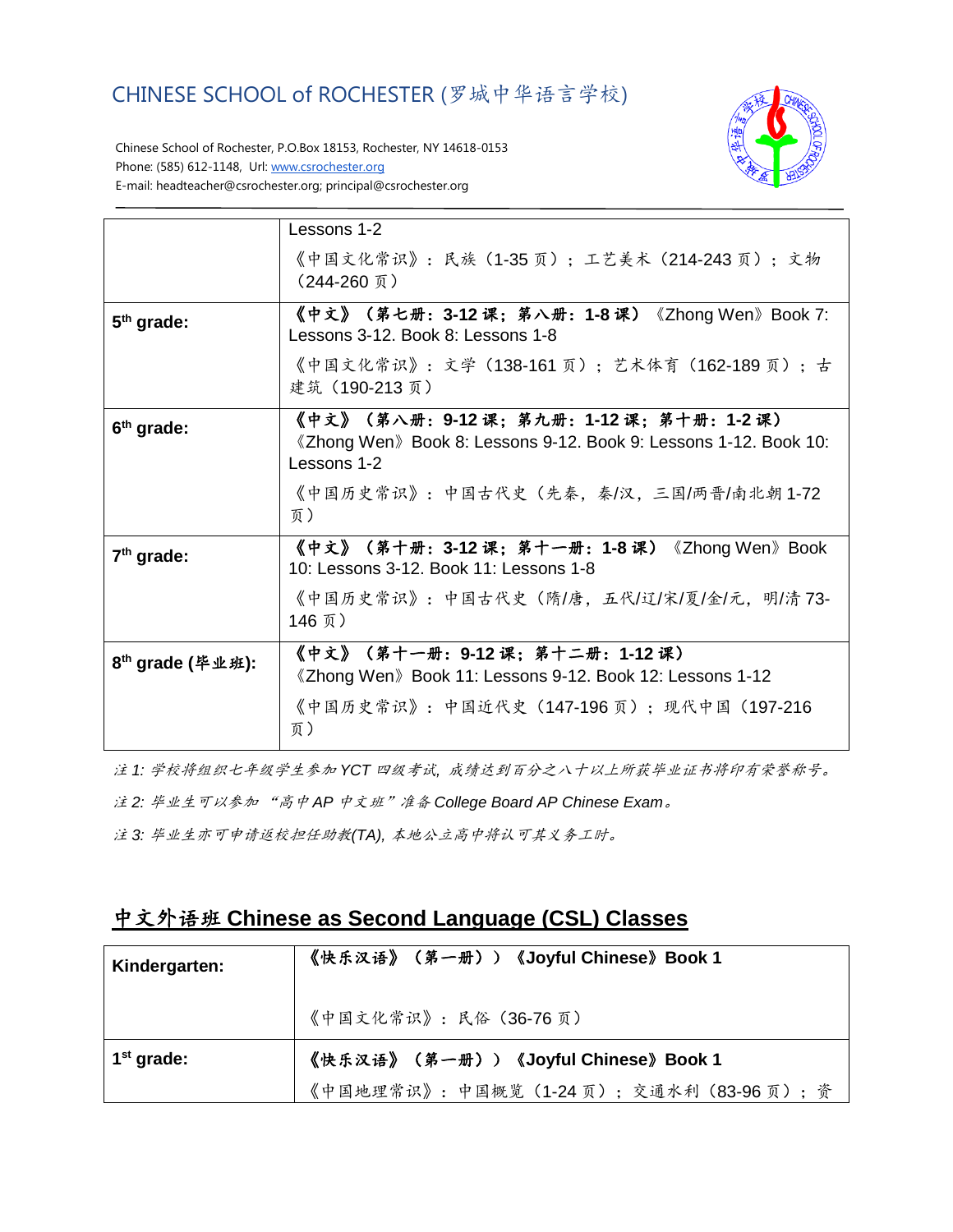CHINESE SCHOOL of ROCHESTER (罗城中华语言学校)



Chinese School of Rochester, P.O.Box 18153, Rochester, NY 14618-0153 Phone: (585) 612-1148, Url[: www.csrochester.org](http://www.csrochester.org/) E-mail: headteacher@csrochester.org; principal@csrochester.org

|                              | Lessons 1-2                                                                                                             |
|------------------------------|-------------------------------------------------------------------------------------------------------------------------|
|                              | 《中国文化常识》:民族(1-35 页);工艺美术(214-243 页);文物<br>(244-260 页)                                                                   |
| $5th$ grade:                 | 《中文》(第七册:3-12 课;第八册:1-8 课)《Zhong Wen》Book 7:<br>Lessons 3-12, Book 8: Lessons 1-8                                       |
|                              | 《中国文化常识》: 文学 (138-161 页); 艺术体育 (162-189 页); 古<br>建筑 (190-213页)                                                          |
| 6 <sup>th</sup> grade:       | 《中文》(第八册:9-12 课;第九册:1-12 课;第十册:1-2 课)<br>《Zhong Wen》Book 8: Lessons 9-12. Book 9: Lessons 1-12. Book 10:<br>Lessons 1-2 |
|                              | 《中国历史常识》:中国古代史(先秦,秦/汉,三国/两晋/南北朝 1-72<br>页)                                                                              |
| $7th$ grade:                 | 《中文》(第十册:3-12 课;第十一册:1-8 课)《Zhong Wen》Book<br>10: Lessons 3-12. Book 11: Lessons 1-8                                    |
|                              | 《中国历史常识》:中国古代史(隋/唐,五代/辽/宋/夏/金/元,明/清 73-<br>146 页)                                                                       |
| 8 <sup>th</sup> grade (毕业班): | 《中文》(第十一册:9-12 课;第十二册:1-12 课)<br>《Zhong Wen》Book 11: Lessons 9-12. Book 12: Lessons 1-12                                |
|                              | 《中国历史常识》:中国近代史(147-196 页);现代中国(197-216<br>页)                                                                            |

注 *1:* 学校将组织七年级学生参加 *YCT* 四级考试*,* 成绩达到百分之八十以上所获毕业证书将印有荣誉称号。

注 *2:* 毕业生可以参加 "高中 *AP* 中文班"准备 *College Board AP Chinese Exam*。

注 *3:* 毕业生亦可申请返校担任助教*(TA),* 本地公立高中将认可其义务工时。

#### 中文外语班 **Chinese as Second Language (CSL) Classes**

| Kindergarten: | 《快乐汉语》(第一册))《Joyful Chinese》Book 1     |
|---------------|----------------------------------------|
|               | 《中国文化常识》: 民俗 (36-76页)                  |
| $1st$ grade:  | 《快乐汉语》(第一册))《Joyful Chinese》Book 1     |
|               | 《中国地理常识》: 中国概览(1-24页); 交通水利(83-96页); 资 |